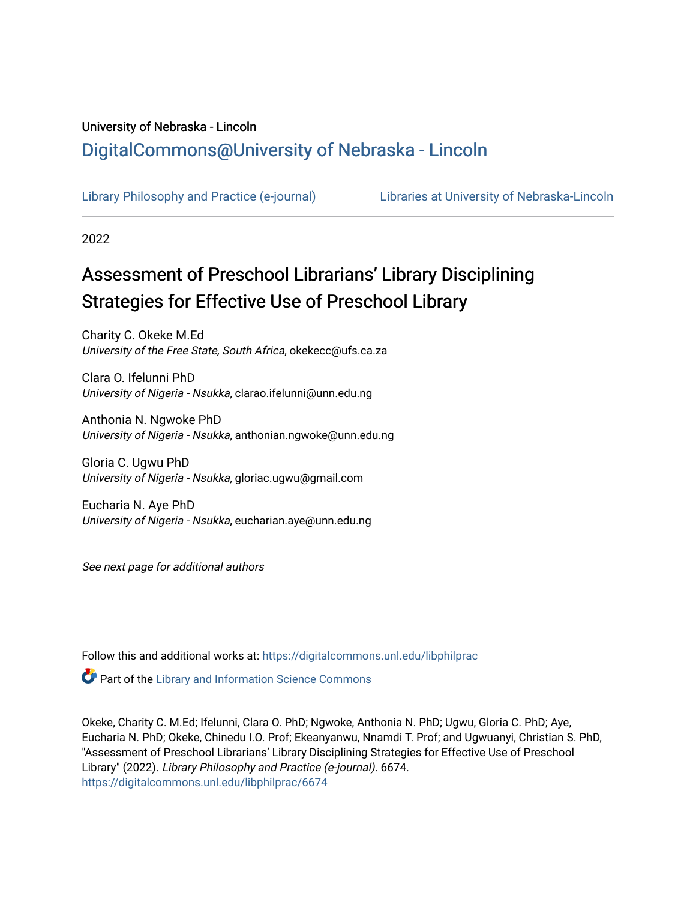# University of Nebraska - Lincoln [DigitalCommons@University of Nebraska - Lincoln](https://digitalcommons.unl.edu/)

[Library Philosophy and Practice \(e-journal\)](https://digitalcommons.unl.edu/libphilprac) [Libraries at University of Nebraska-Lincoln](https://digitalcommons.unl.edu/libraries) 

2022

# Assessment of Preschool Librarians' Library Disciplining Strategies for Effective Use of Preschool Library

Charity C. Okeke M.Ed University of the Free State, South Africa, okekecc@ufs.ca.za

Clara O. Ifelunni PhD University of Nigeria - Nsukka, clarao.ifelunni@unn.edu.ng

Anthonia N. Ngwoke PhD University of Nigeria - Nsukka, anthonian.ngwoke@unn.edu.ng

Gloria C. Ugwu PhD University of Nigeria - Nsukka, gloriac.ugwu@gmail.com

Eucharia N. Aye PhD University of Nigeria - Nsukka, eucharian.aye@unn.edu.ng

See next page for additional authors

Follow this and additional works at: [https://digitalcommons.unl.edu/libphilprac](https://digitalcommons.unl.edu/libphilprac?utm_source=digitalcommons.unl.edu%2Flibphilprac%2F6674&utm_medium=PDF&utm_campaign=PDFCoverPages) 

**P** Part of the Library and Information Science Commons

Okeke, Charity C. M.Ed; Ifelunni, Clara O. PhD; Ngwoke, Anthonia N. PhD; Ugwu, Gloria C. PhD; Aye, Eucharia N. PhD; Okeke, Chinedu I.O. Prof; Ekeanyanwu, Nnamdi T. Prof; and Ugwuanyi, Christian S. PhD, "Assessment of Preschool Librarians' Library Disciplining Strategies for Effective Use of Preschool Library" (2022). Library Philosophy and Practice (e-journal). 6674. [https://digitalcommons.unl.edu/libphilprac/6674](https://digitalcommons.unl.edu/libphilprac/6674?utm_source=digitalcommons.unl.edu%2Flibphilprac%2F6674&utm_medium=PDF&utm_campaign=PDFCoverPages)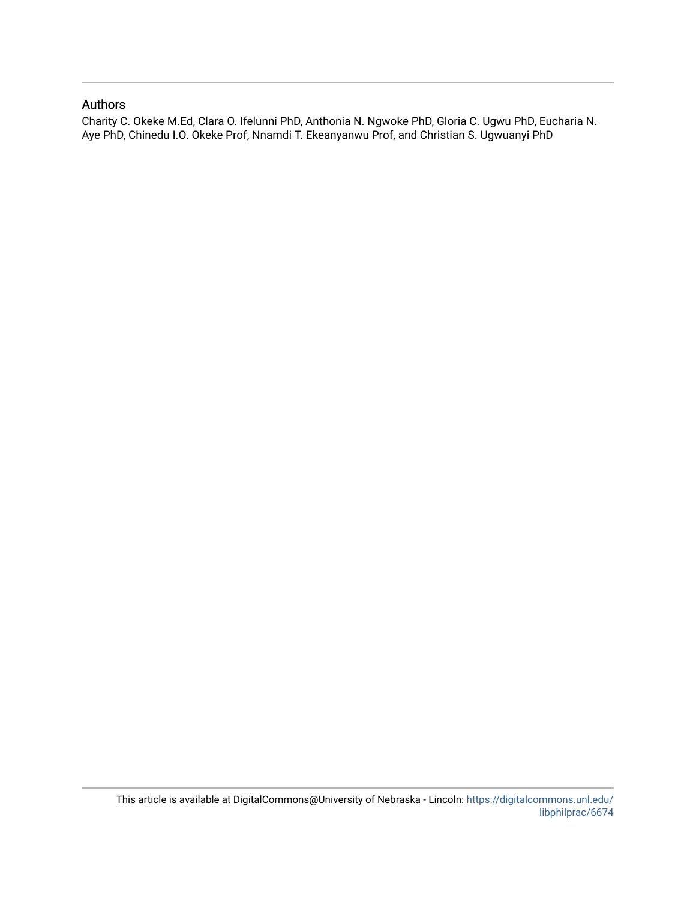#### Authors

Charity C. Okeke M.Ed, Clara O. Ifelunni PhD, Anthonia N. Ngwoke PhD, Gloria C. Ugwu PhD, Eucharia N. Aye PhD, Chinedu I.O. Okeke Prof, Nnamdi T. Ekeanyanwu Prof, and Christian S. Ugwuanyi PhD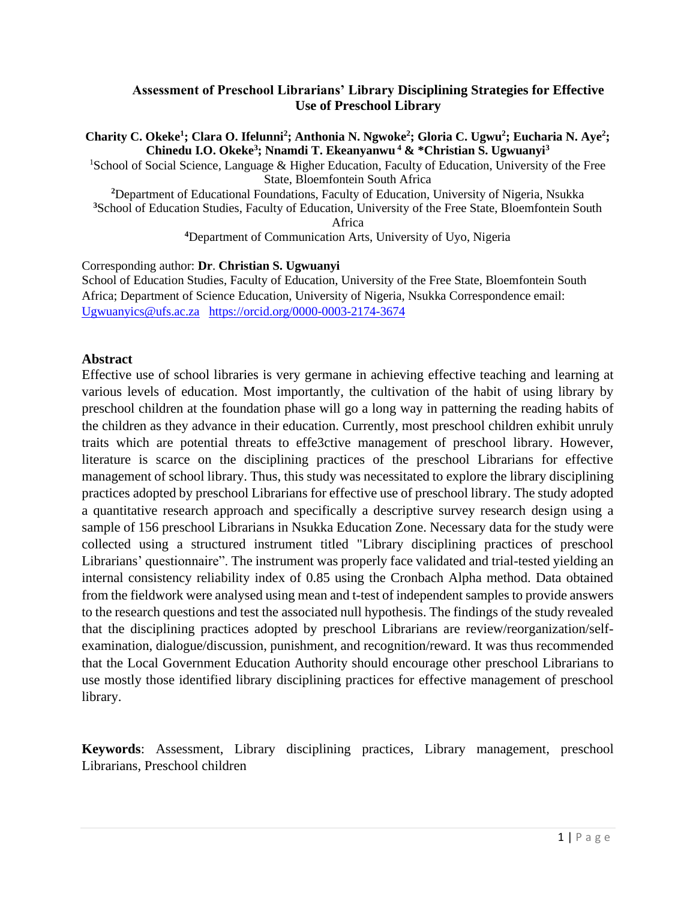### **Assessment of Preschool Librarians' Library Disciplining Strategies for Effective Use of Preschool Library**

**Charity C. Okeke<sup>1</sup> ; Clara O. Ifelunni<sup>2</sup> ; Anthonia N. Ngwoke<sup>2</sup> ; Gloria C. Ugwu<sup>2</sup> ; Eucharia N. Aye<sup>2</sup> ; Chinedu I.O. Okeke<sup>3</sup> ; Nnamdi T. Ekeanyanwu <sup>4</sup> & \*Christian S. Ugwuanyi<sup>3</sup>** <sup>1</sup>School of Social Science, Language & Higher Education, Faculty of Education, University of the Free

State, Bloemfontein South Africa **<sup>2</sup>**Department of Educational Foundations, Faculty of Education, University of Nigeria, Nsukka **<sup>3</sup>**School of Education Studies, Faculty of Education, University of the Free State, Bloemfontein South Africa

**<sup>4</sup>**Department of Communication Arts, University of Uyo, Nigeria

Corresponding author: **Dr**. **Christian S. Ugwuanyi** School of Education Studies, Faculty of Education, University of the Free State, Bloemfontein South Africa; Department of Science Education, University of Nigeria, Nsukka Correspondence email: [Ugwuanyics@ufs.ac.za](mailto:Ugwuanyics@ufs.ac.za) <https://orcid.org/0000-0003-2174-3674>

### **Abstract**

Effective use of school libraries is very germane in achieving effective teaching and learning at various levels of education. Most importantly, the cultivation of the habit of using library by preschool children at the foundation phase will go a long way in patterning the reading habits of the children as they advance in their education. Currently, most preschool children exhibit unruly traits which are potential threats to effe3ctive management of preschool library. However, literature is scarce on the disciplining practices of the preschool Librarians for effective management of school library. Thus, this study was necessitated to explore the library disciplining practices adopted by preschool Librarians for effective use of preschool library. The study adopted a quantitative research approach and specifically a descriptive survey research design using a sample of 156 preschool Librarians in Nsukka Education Zone. Necessary data for the study were collected using a structured instrument titled "Library disciplining practices of preschool Librarians' questionnaire". The instrument was properly face validated and trial-tested yielding an internal consistency reliability index of 0.85 using the Cronbach Alpha method. Data obtained from the fieldwork were analysed using mean and t-test of independent samples to provide answers to the research questions and test the associated null hypothesis. The findings of the study revealed that the disciplining practices adopted by preschool Librarians are review/reorganization/selfexamination, dialogue/discussion, punishment, and recognition/reward. It was thus recommended that the Local Government Education Authority should encourage other preschool Librarians to use mostly those identified library disciplining practices for effective management of preschool library.

**Keywords**: Assessment, Library disciplining practices, Library management, preschool Librarians, Preschool children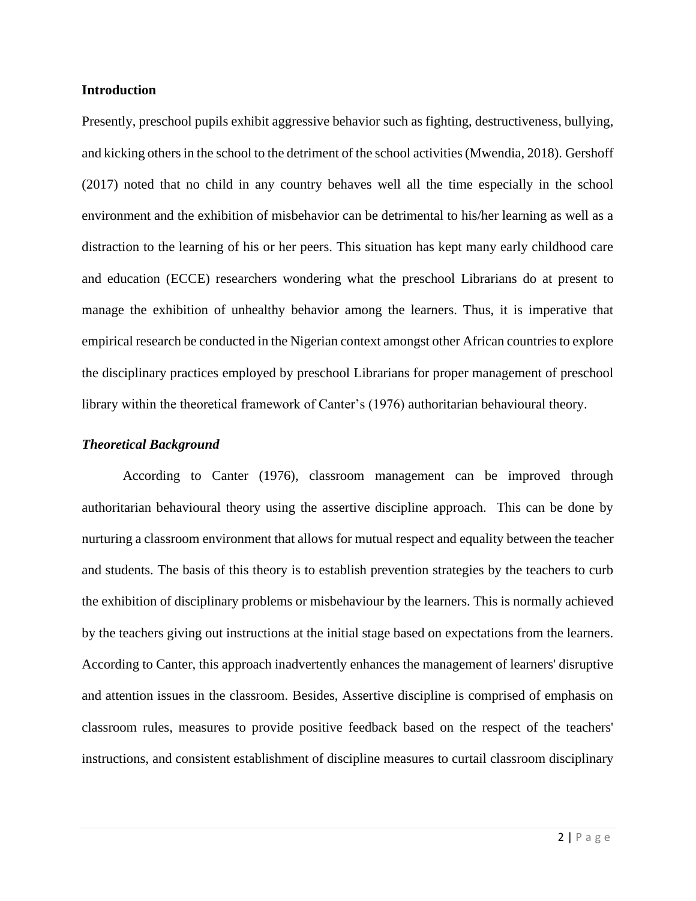#### **Introduction**

Presently, preschool pupils exhibit aggressive behavior such as fighting, destructiveness, bullying, and kicking others in the school to the detriment of the school activities (Mwendia, 2018). Gershoff (2017) noted that no child in any country behaves well all the time especially in the school environment and the exhibition of misbehavior can be detrimental to his/her learning as well as a distraction to the learning of his or her peers. This situation has kept many early childhood care and education (ECCE) researchers wondering what the preschool Librarians do at present to manage the exhibition of unhealthy behavior among the learners. Thus, it is imperative that empirical research be conducted in the Nigerian context amongst other African countries to explore the disciplinary practices employed by preschool Librarians for proper management of preschool library within the theoretical framework of Canter's (1976) authoritarian behavioural theory.

#### *Theoretical Background*

According to Canter (1976), classroom management can be improved through authoritarian behavioural theory using the assertive discipline approach. This can be done by nurturing a classroom environment that allows for mutual respect and equality between the teacher and students. The basis of this theory is to establish prevention strategies by the teachers to curb the exhibition of disciplinary problems or misbehaviour by the learners. This is normally achieved by the teachers giving out instructions at the initial stage based on expectations from the learners. According to Canter, this approach inadvertently enhances the management of learners' disruptive and attention issues in the classroom. Besides, Assertive discipline is comprised of emphasis on classroom rules, measures to provide positive feedback based on the respect of the teachers' instructions, and consistent establishment of discipline measures to curtail classroom disciplinary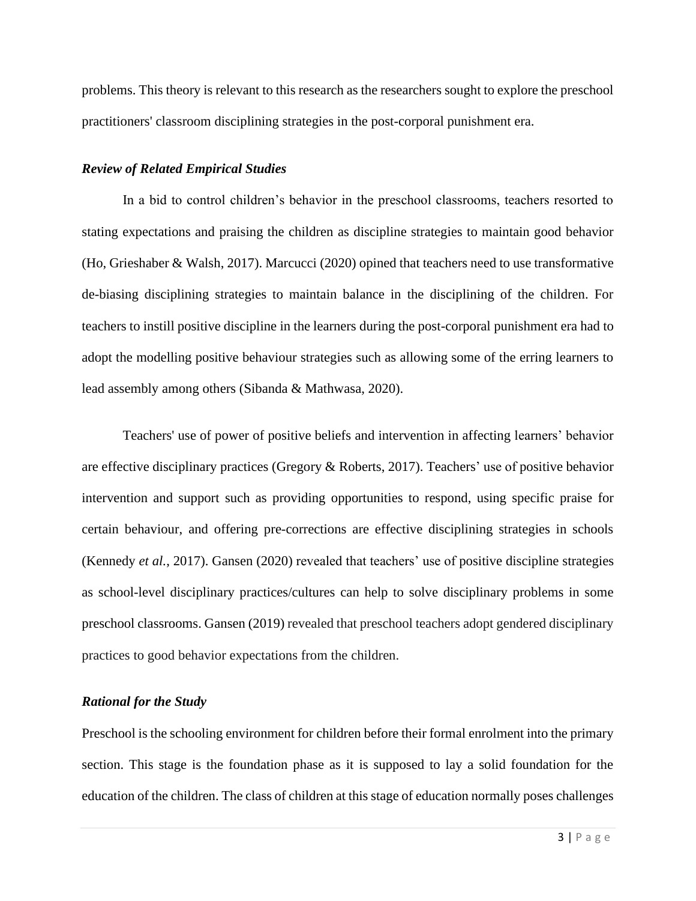problems. This theory is relevant to this research as the researchers sought to explore the preschool practitioners' classroom disciplining strategies in the post-corporal punishment era.

#### *Review of Related Empirical Studies*

In a bid to control children's behavior in the preschool classrooms, teachers resorted to stating expectations and praising the children as discipline strategies to maintain good behavior (Ho, Grieshaber & Walsh, 2017). Marcucci (2020) opined that teachers need to use transformative de-biasing disciplining strategies to maintain balance in the disciplining of the children. For teachers to instill positive discipline in the learners during the post-corporal punishment era had to adopt the modelling positive behaviour strategies such as allowing some of the erring learners to lead assembly among others (Sibanda & Mathwasa, 2020).

Teachers' use of power of positive beliefs and intervention in affecting learners' behavior are effective disciplinary practices (Gregory & Roberts, 2017). Teachers' use of positive behavior intervention and support such as providing opportunities to respond, using specific praise for certain behaviour, and offering pre-corrections are effective disciplining strategies in schools (Kennedy *et al.*, 2017). Gansen (2020) revealed that teachers' use of positive discipline strategies as school-level disciplinary practices/cultures can help to solve disciplinary problems in some preschool classrooms. Gansen (2019) revealed that preschool teachers adopt gendered disciplinary practices to good behavior expectations from the children.

#### *Rational for the Study*

Preschool is the schooling environment for children before their formal enrolment into the primary section. This stage is the foundation phase as it is supposed to lay a solid foundation for the education of the children. The class of children at this stage of education normally poses challenges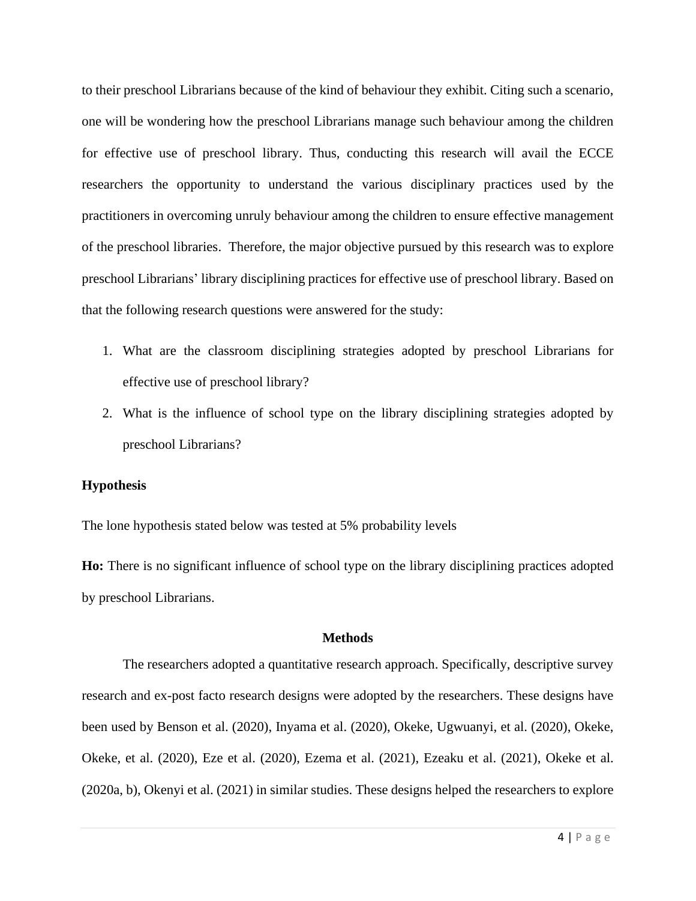to their preschool Librarians because of the kind of behaviour they exhibit. Citing such a scenario, one will be wondering how the preschool Librarians manage such behaviour among the children for effective use of preschool library. Thus, conducting this research will avail the ECCE researchers the opportunity to understand the various disciplinary practices used by the practitioners in overcoming unruly behaviour among the children to ensure effective management of the preschool libraries. Therefore, the major objective pursued by this research was to explore preschool Librarians' library disciplining practices for effective use of preschool library. Based on that the following research questions were answered for the study:

- 1. What are the classroom disciplining strategies adopted by preschool Librarians for effective use of preschool library?
- 2. What is the influence of school type on the library disciplining strategies adopted by preschool Librarians?

#### **Hypothesis**

The lone hypothesis stated below was tested at 5% probability levels

**Ho:** There is no significant influence of school type on the library disciplining practices adopted by preschool Librarians.

#### **Methods**

The researchers adopted a quantitative research approach. Specifically, descriptive survey research and ex-post facto research designs were adopted by the researchers. These designs have been used by Benson et al. (2020), Inyama et al. (2020), Okeke, Ugwuanyi, et al. (2020), Okeke, Okeke, et al. (2020), Eze et al. (2020), Ezema et al. (2021), Ezeaku et al. (2021), Okeke et al. (2020a, b), Okenyi et al. (2021) in similar studies. These designs helped the researchers to explore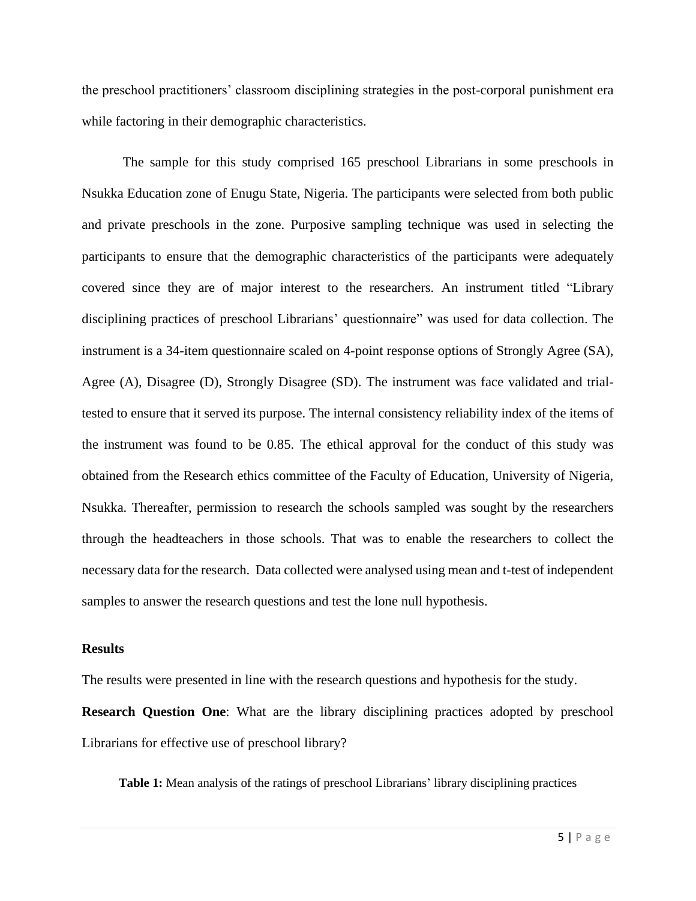the preschool practitioners' classroom disciplining strategies in the post-corporal punishment era while factoring in their demographic characteristics.

The sample for this study comprised 165 preschool Librarians in some preschools in Nsukka Education zone of Enugu State, Nigeria. The participants were selected from both public and private preschools in the zone. Purposive sampling technique was used in selecting the participants to ensure that the demographic characteristics of the participants were adequately covered since they are of major interest to the researchers. An instrument titled "Library disciplining practices of preschool Librarians' questionnaire" was used for data collection. The instrument is a 34-item questionnaire scaled on 4-point response options of Strongly Agree (SA), Agree (A), Disagree (D), Strongly Disagree (SD). The instrument was face validated and trialtested to ensure that it served its purpose. The internal consistency reliability index of the items of the instrument was found to be 0.85. The ethical approval for the conduct of this study was obtained from the Research ethics committee of the Faculty of Education, University of Nigeria, Nsukka. Thereafter, permission to research the schools sampled was sought by the researchers through the headteachers in those schools. That was to enable the researchers to collect the necessary data for the research. Data collected were analysed using mean and t-test of independent samples to answer the research questions and test the lone null hypothesis.

#### **Results**

The results were presented in line with the research questions and hypothesis for the study.

**Research Question One:** What are the library disciplining practices adopted by preschool Librarians for effective use of preschool library?

**Table 1:** Mean analysis of the ratings of preschool Librarians' library disciplining practices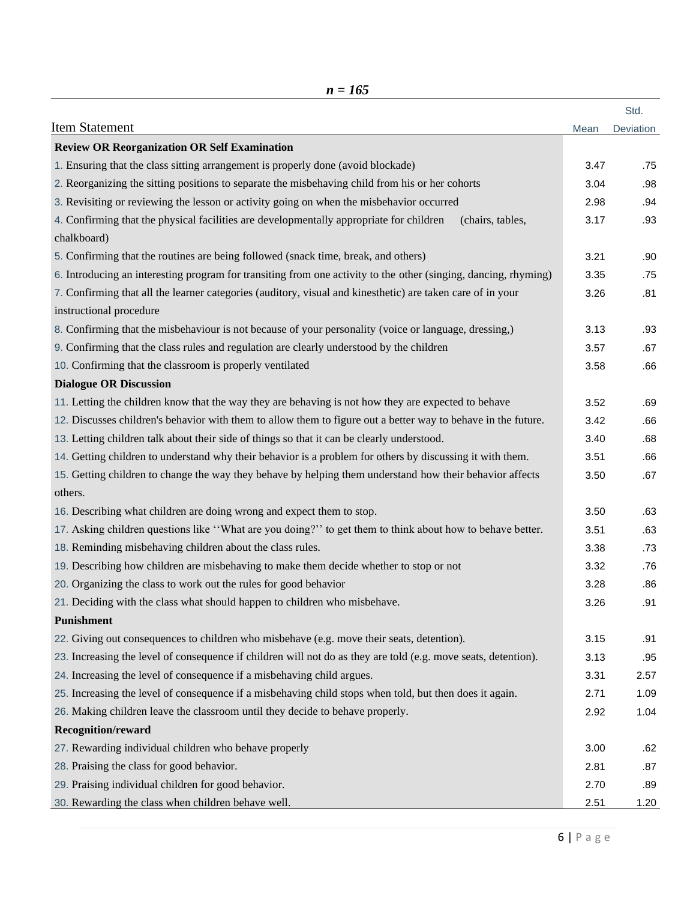|                                                                                                                            |      | Std.      |
|----------------------------------------------------------------------------------------------------------------------------|------|-----------|
| <b>Item Statement</b>                                                                                                      | Mean | Deviation |
| <b>Review OR Reorganization OR Self Examination</b>                                                                        |      |           |
| 1. Ensuring that the class sitting arrangement is properly done (avoid blockade)                                           | 3.47 | .75       |
| 2. Reorganizing the sitting positions to separate the misbehaving child from his or her cohorts                            | 3.04 | .98       |
| 3. Revisiting or reviewing the lesson or activity going on when the misbehavior occurred                                   | 2.98 | .94       |
| 4. Confirming that the physical facilities are developmentally appropriate for children<br>(chairs, tables,<br>chalkboard) | 3.17 | .93       |
| 5. Confirming that the routines are being followed (snack time, break, and others)                                         | 3.21 | .90       |
| 6. Introducing an interesting program for transiting from one activity to the other (singing, dancing, rhyming)            | 3.35 | .75       |
| 7. Confirming that all the learner categories (auditory, visual and kinesthetic) are taken care of in your                 | 3.26 | .81       |
| instructional procedure                                                                                                    |      |           |
| 8. Confirming that the misbehaviour is not because of your personality (voice or language, dressing,)                      | 3.13 | .93       |
| 9. Confirming that the class rules and regulation are clearly understood by the children                                   | 3.57 | .67       |
| 10. Confirming that the classroom is properly ventilated                                                                   | 3.58 | .66       |
| <b>Dialogue OR Discussion</b>                                                                                              |      |           |
| 11. Letting the children know that the way they are behaving is not how they are expected to behave                        | 3.52 | .69       |
| 12. Discusses children's behavior with them to allow them to figure out a better way to behave in the future.              | 3.42 | .66       |
| 13. Letting children talk about their side of things so that it can be clearly understood.                                 | 3.40 | .68       |
| 14. Getting children to understand why their behavior is a problem for others by discussing it with them.                  | 3.51 | .66       |
| 15. Getting children to change the way they behave by helping them understand how their behavior affects                   | 3.50 | .67       |
| others.                                                                                                                    |      |           |
| 16. Describing what children are doing wrong and expect them to stop.                                                      | 3.50 | .63       |
| 17. Asking children questions like "What are you doing?" to get them to think about how to behave better.                  | 3.51 | .63       |
| 18. Reminding misbehaving children about the class rules.                                                                  | 3.38 | .73       |
| 19. Describing how children are misbehaving to make them decide whether to stop or not                                     | 3.32 | .76       |
| 20. Organizing the class to work out the rules for good behavior                                                           | 3.28 | .86       |
| 21. Deciding with the class what should happen to children who misbehave.                                                  | 3.26 | .91       |
| Punishment                                                                                                                 |      |           |
| 22. Giving out consequences to children who misbehave (e.g. move their seats, detention).                                  | 3.15 | .91       |
| 23. Increasing the level of consequence if children will not do as they are told (e.g. move seats, detention).             | 3.13 | .95       |
| 24. Increasing the level of consequence if a misbehaving child argues.                                                     | 3.31 | 2.57      |
| 25. Increasing the level of consequence if a misbehaving child stops when told, but then does it again.                    | 2.71 | 1.09      |
| 26. Making children leave the classroom until they decide to behave properly.                                              | 2.92 | 1.04      |
| <b>Recognition/reward</b>                                                                                                  |      |           |
| 27. Rewarding individual children who behave properly                                                                      | 3.00 | .62       |
| 28. Praising the class for good behavior.                                                                                  | 2.81 | .87       |
| 29. Praising individual children for good behavior.                                                                        | 2.70 | .89       |
| 30. Rewarding the class when children behave well.                                                                         | 2.51 | 1.20      |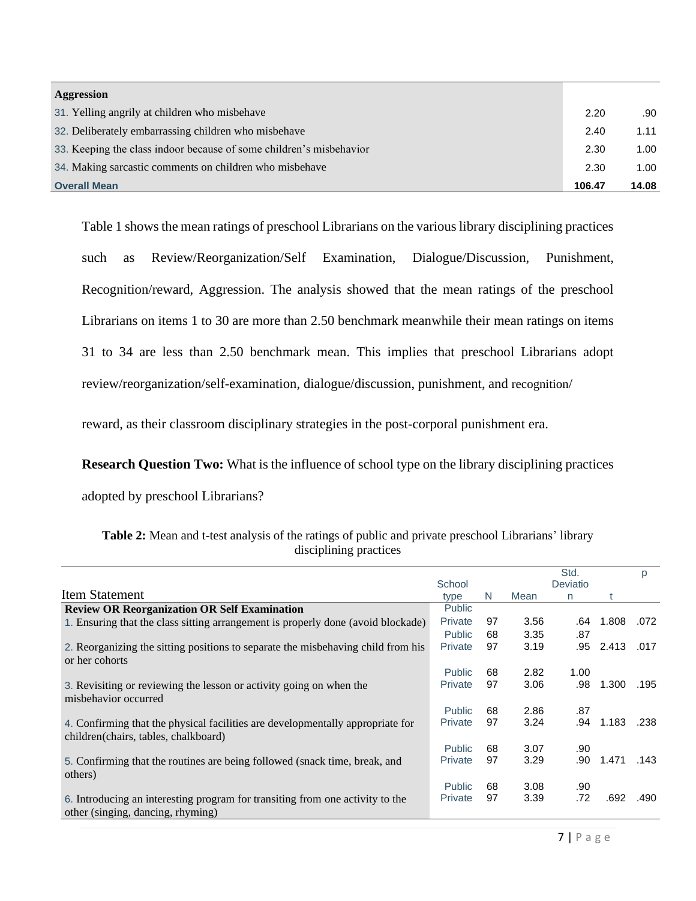| Aggression                                                          |        |       |
|---------------------------------------------------------------------|--------|-------|
| 31. Yelling angrily at children who misbehave                       | 2.20   | .90   |
| 32. Deliberately embarrassing children who misbehave                | 2.40   | 1.11  |
| 33. Keeping the class indoor because of some children's misbehavior | 2.30   | 1.00  |
| 34. Making sarcastic comments on children who misbehave             | 2.30   | 1.00  |
| <b>Overall Mean</b>                                                 | 106.47 | 14.08 |

Table 1 shows the mean ratings of preschool Librarians on the various library disciplining practices such as Review/Reorganization/Self Examination, Dialogue/Discussion, Punishment, Recognition/reward, Aggression. The analysis showed that the mean ratings of the preschool Librarians on items 1 to 30 are more than 2.50 benchmark meanwhile their mean ratings on items 31 to 34 are less than 2.50 benchmark mean. This implies that preschool Librarians adopt review/reorganization/self-examination, dialogue/discussion, punishment, and recognition/

reward, as their classroom disciplinary strategies in the post-corporal punishment era.

**Research Question Two:** What is the influence of school type on the library disciplining practices

adopted by preschool Librarians?

|                                                                                  |                |              |      | Std.     |       | p    |
|----------------------------------------------------------------------------------|----------------|--------------|------|----------|-------|------|
|                                                                                  | School         |              |      | Deviatio |       |      |
| <b>Item Statement</b>                                                            | type           | <sup>N</sup> | Mean | n        |       |      |
| <b>Review OR Reorganization OR Self Examination</b>                              | <b>Public</b>  |              |      |          |       |      |
| 1. Ensuring that the class sitting arrangement is properly done (avoid blockade) | <b>Private</b> | 97           | 3.56 | .64      | 1.808 | .072 |
|                                                                                  | <b>Public</b>  | 68           | 3.35 | .87      |       |      |
| 2. Reorganizing the sitting positions to separate the misbehaving child from his | Private        | 97           | 3.19 | .95      | 2.413 | .017 |
| or her cohorts                                                                   |                |              |      |          |       |      |
|                                                                                  | <b>Public</b>  | 68           | 2.82 | 1.00     |       |      |
| 3. Revisiting or reviewing the lesson or activity going on when the              | Private        | 97           | 3.06 | .98      | 1.300 | .195 |
| misbehavior occurred                                                             |                |              |      |          |       |      |
|                                                                                  | <b>Public</b>  | 68           | 2.86 | .87      |       |      |
| 4. Confirming that the physical facilities are developmentally appropriate for   | <b>Private</b> | 97           | 3.24 | .94      | 1.183 | .238 |
| children(chairs, tables, chalkboard)                                             |                |              |      |          |       |      |
|                                                                                  | <b>Public</b>  | 68           | 3.07 | .90      |       |      |
| 5. Confirming that the routines are being followed (snack time, break, and       | <b>Private</b> | 97           | 3.29 | .90      | 1.471 | .143 |
| others)                                                                          |                |              |      |          |       |      |
|                                                                                  | <b>Public</b>  | 68           | 3.08 | .90      |       |      |
| 6. Introducing an interesting program for transiting from one activity to the    | Private        | 97           | 3.39 | .72      | .692  | .490 |
| other (singing, dancing, rhyming)                                                |                |              |      |          |       |      |

**Table 2:** Mean and t-test analysis of the ratings of public and private preschool Librarians' library disciplining practices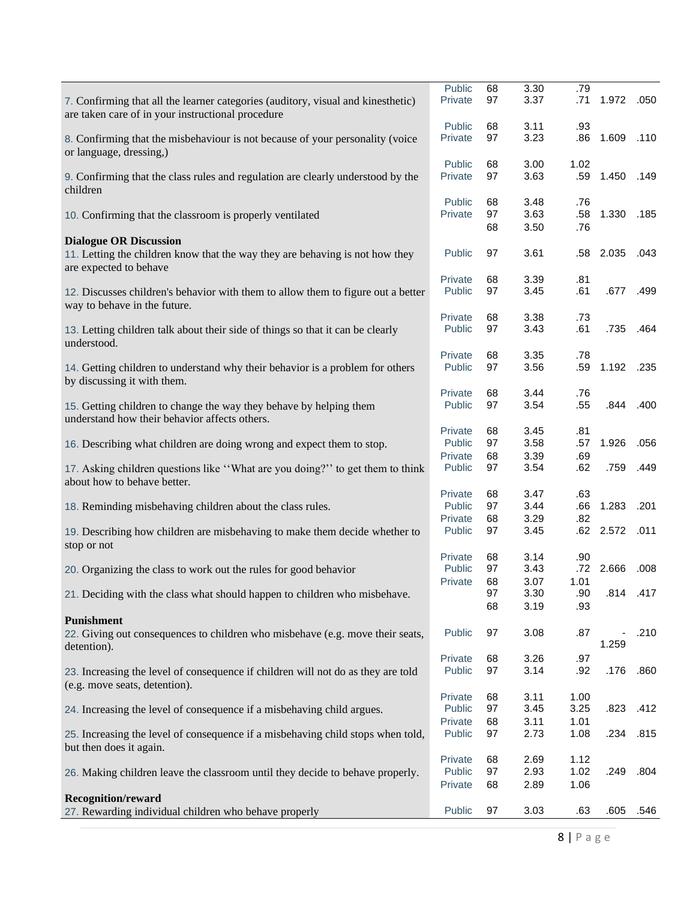| 7. Confirming that all the learner categories (auditory, visual and kinesthetic)                                    | Public<br>Private | 68<br>97 | 3.30<br>3.37 | .79<br>.71   | 1.972 .050             |           |
|---------------------------------------------------------------------------------------------------------------------|-------------------|----------|--------------|--------------|------------------------|-----------|
| are taken care of in your instructional procedure                                                                   | Public            | 68       | 3.11         | .93          |                        |           |
| 8. Confirming that the misbehaviour is not because of your personality (voice<br>or language, dressing,)            | Private           | 97       | 3.23         | .86          | 1.609                  | .110      |
| 9. Confirming that the class rules and regulation are clearly understood by the<br>children                         | Public<br>Private | 68<br>97 | 3.00<br>3.63 | 1.02<br>.59  | 1.450                  | .149      |
| 10. Confirming that the classroom is properly ventilated                                                            | Public<br>Private | 68<br>97 | 3.48<br>3.63 | .76<br>.58   | 1.330                  | .185      |
| <b>Dialogue OR Discussion</b>                                                                                       |                   | 68       | 3.50         | .76          |                        |           |
| 11. Letting the children know that the way they are behaving is not how they<br>are expected to behave              | Public            | 97       | 3.61         | .58          | 2.035                  | .043      |
| 12. Discusses children's behavior with them to allow them to figure out a better<br>way to behave in the future.    | Private<br>Public | 68<br>97 | 3.39<br>3.45 | .81<br>.61   | .677                   | .499      |
| 13. Letting children talk about their side of things so that it can be clearly                                      | Private<br>Public | 68<br>97 | 3.38<br>3.43 | .73<br>.61   | .735                   | .464      |
| understood.                                                                                                         | Private           | 68       | 3.35         | .78          |                        |           |
| 14. Getting children to understand why their behavior is a problem for others<br>by discussing it with them.        | Public            | 97       | 3.56         | .59          | 1.192 .235             |           |
|                                                                                                                     | Private           | 68<br>97 | 3.44         | .76<br>.55   |                        | .844 .400 |
| 15. Getting children to change the way they behave by helping them<br>understand how their behavior affects others. | Public            |          | 3.54         |              |                        |           |
|                                                                                                                     | Private           | 68       | 3.45         | .81          |                        |           |
| 16. Describing what children are doing wrong and expect them to stop.                                               | Public<br>Private | 97<br>68 | 3.58<br>3.39 | .57<br>.69   | 1.926                  | .056      |
| 17. Asking children questions like "What are you doing?" to get them to think<br>about how to behave better.        | Public            | 97       | 3.54         | .62          | .759                   | .449      |
| 18. Reminding misbehaving children about the class rules.                                                           | Private<br>Public | 68<br>97 | 3.47<br>3.44 | .63<br>.66   | 1.283                  | .201      |
|                                                                                                                     | Private           | 68       | 3.29         | .82          |                        |           |
| 19. Describing how children are misbehaving to make them decide whether to<br>stop or not                           | Public            | 97       | 3.45         |              | .62 2.572 .011         |           |
| 20. Organizing the class to work out the rules for good behavior                                                    | Private<br>Public | 68<br>97 | 3.14<br>3.43 | .90<br>.72   | 2.666 .008             |           |
|                                                                                                                     | Private           | 68       | 3.07         | 1.01         |                        |           |
| 21. Deciding with the class what should happen to children who misbehave.                                           |                   | 97       | 3.30         | .90          |                        | .814 .417 |
| <b>Punishment</b>                                                                                                   |                   | 68       | 3.19         | .93          |                        |           |
| 22. Giving out consequences to children who misbehave (e.g. move their seats,<br>detention).                        | Public            | 97       | 3.08         | .87          | $\frac{1}{2}$<br>1.259 | .210      |
|                                                                                                                     | Private           | 68       | 3.26         | .97          |                        |           |
| 23. Increasing the level of consequence if children will not do as they are told<br>(e.g. move seats, detention).   | Public<br>Private | 97<br>68 | 3.14<br>3.11 | .92<br>1.00  | .176                   | .860      |
| 24. Increasing the level of consequence if a misbehaving child argues.                                              | Public            | 97       | 3.45         | 3.25         | .823                   | .412      |
| 25. Increasing the level of consequence if a misbehaving child stops when told,                                     | Private<br>Public | 68<br>97 | 3.11<br>2.73 | 1.01<br>1.08 | .234                   | .815      |
| but then does it again.                                                                                             |                   |          |              |              |                        |           |
| 26. Making children leave the classroom until they decide to behave properly.                                       | Private<br>Public | 68<br>97 | 2.69<br>2.93 | 1.12<br>1.02 | .249                   | .804      |
|                                                                                                                     | Private           | 68       | 2.89         | 1.06         |                        |           |
| <b>Recognition/reward</b><br>27. Rewarding individual children who behave properly                                  | Public            | 97       | 3.03         | .63          | .605                   | .546      |
|                                                                                                                     |                   |          |              |              |                        |           |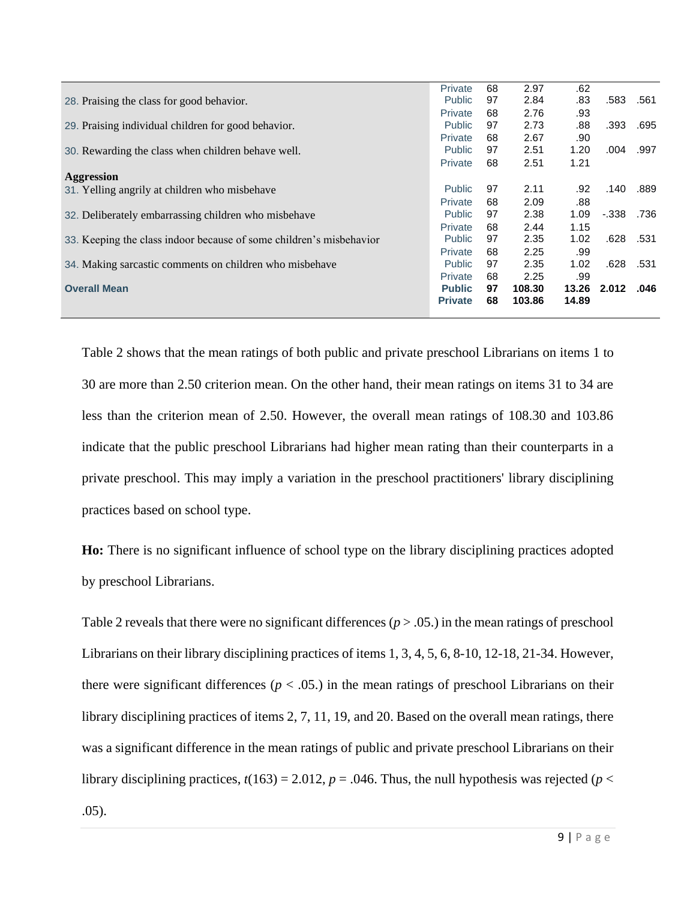|                                                                     | <b>Private</b> | 68 | 2.97   | .62   |       |           |
|---------------------------------------------------------------------|----------------|----|--------|-------|-------|-----------|
| 28. Praising the class for good behavior.                           | <b>Public</b>  | 97 | 2.84   | .83   |       | .583 .561 |
|                                                                     | Private        | 68 | 2.76   | .93   |       |           |
| 29. Praising individual children for good behavior.                 | <b>Public</b>  | 97 | 2.73   | .88   | .393  | .695      |
|                                                                     | Private        | 68 | 2.67   | .90   |       |           |
| 30. Rewarding the class when children behave well.                  | <b>Public</b>  | 97 | 2.51   | 1.20  | .004  | .997      |
|                                                                     | Private        | 68 | 2.51   | 1.21  |       |           |
| Aggression                                                          |                |    |        |       |       |           |
| 31. Yelling angrily at children who misbehave                       | <b>Public</b>  | 97 | 2.11   | .92   | .140  | .889      |
|                                                                     | Private        | 68 | 2.09   | .88   |       |           |
| 32. Deliberately embarrassing children who misbehave                | <b>Public</b>  | 97 | 2.38   | 1.09  | -.338 | .736      |
|                                                                     | Private        | 68 | 2.44   | 1.15  |       |           |
| 33. Keeping the class indoor because of some children's misbehavior | <b>Public</b>  | 97 | 2.35   | 1.02  | .628  | .531      |
|                                                                     | Private        | 68 | 2.25   | .99   |       |           |
| 34. Making sarcastic comments on children who misbehave             | <b>Public</b>  | 97 | 2.35   | 1.02  | .628  | .531      |
|                                                                     | Private        | 68 | 2.25   | .99   |       |           |
| <b>Overall Mean</b>                                                 | <b>Public</b>  | 97 | 108.30 | 13.26 | 2.012 | .046      |
|                                                                     | <b>Private</b> | 68 | 103.86 | 14.89 |       |           |
|                                                                     |                |    |        |       |       |           |

Table 2 shows that the mean ratings of both public and private preschool Librarians on items 1 to 30 are more than 2.50 criterion mean. On the other hand, their mean ratings on items 31 to 34 are less than the criterion mean of 2.50. However, the overall mean ratings of 108.30 and 103.86 indicate that the public preschool Librarians had higher mean rating than their counterparts in a private preschool. This may imply a variation in the preschool practitioners' library disciplining practices based on school type.

**Ho:** There is no significant influence of school type on the library disciplining practices adopted by preschool Librarians.

Table 2 reveals that there were no significant differences ( $p > .05$ .) in the mean ratings of preschool Librarians on their library disciplining practices of items 1, 3, 4, 5, 6, 8-10, 12-18, 21-34. However, there were significant differences ( $p < .05$ .) in the mean ratings of preschool Librarians on their library disciplining practices of items 2, 7, 11, 19, and 20. Based on the overall mean ratings, there was a significant difference in the mean ratings of public and private preschool Librarians on their library disciplining practices,  $t(163) = 2.012$ ,  $p = .046$ . Thus, the null hypothesis was rejected ( $p <$ .05).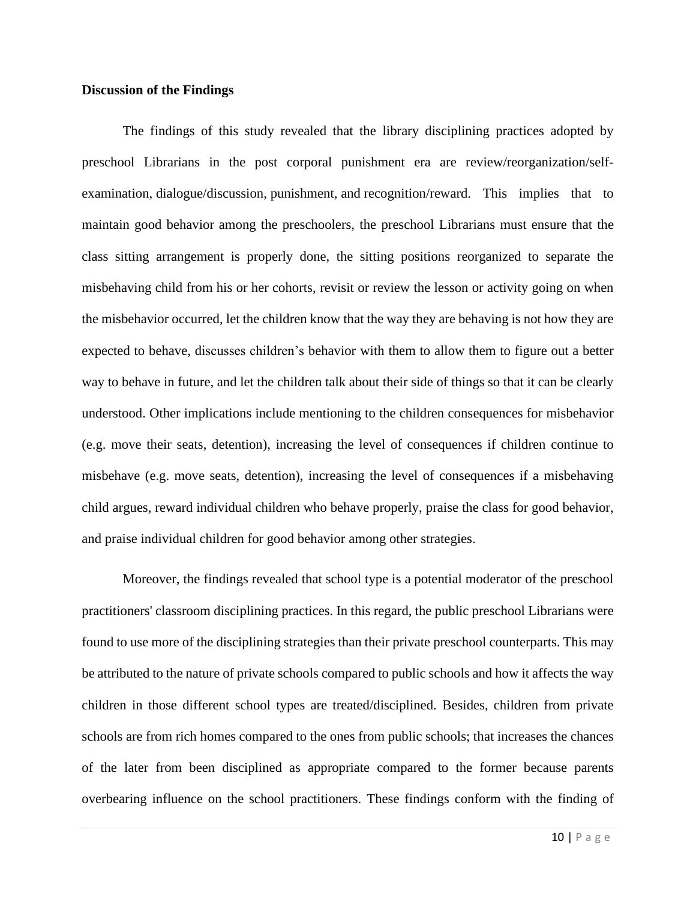#### **Discussion of the Findings**

The findings of this study revealed that the library disciplining practices adopted by preschool Librarians in the post corporal punishment era are review/reorganization/selfexamination, dialogue/discussion, punishment, and recognition/reward. This implies that to maintain good behavior among the preschoolers, the preschool Librarians must ensure that the class sitting arrangement is properly done, the sitting positions reorganized to separate the misbehaving child from his or her cohorts, revisit or review the lesson or activity going on when the misbehavior occurred, let the children know that the way they are behaving is not how they are expected to behave, discusses children's behavior with them to allow them to figure out a better way to behave in future, and let the children talk about their side of things so that it can be clearly understood. Other implications include mentioning to the children consequences for misbehavior (e.g. move their seats, detention), increasing the level of consequences if children continue to misbehave (e.g. move seats, detention), increasing the level of consequences if a misbehaving child argues, reward individual children who behave properly, praise the class for good behavior, and praise individual children for good behavior among other strategies.

Moreover, the findings revealed that school type is a potential moderator of the preschool practitioners' classroom disciplining practices. In this regard, the public preschool Librarians were found to use more of the disciplining strategies than their private preschool counterparts. This may be attributed to the nature of private schools compared to public schools and how it affects the way children in those different school types are treated/disciplined. Besides, children from private schools are from rich homes compared to the ones from public schools; that increases the chances of the later from been disciplined as appropriate compared to the former because parents overbearing influence on the school practitioners. These findings conform with the finding of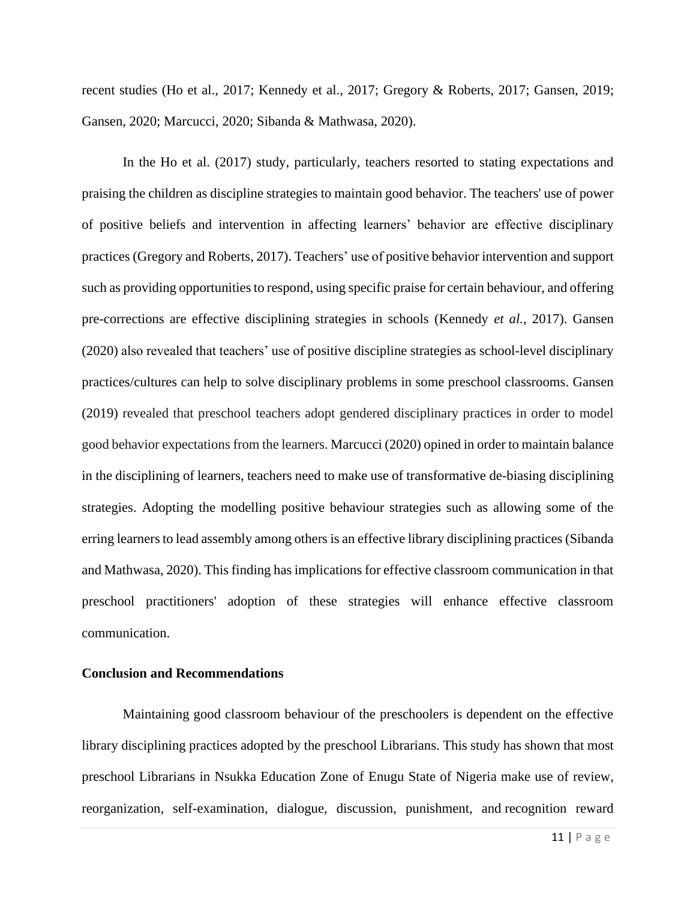recent studies (Ho et al., 2017; Kennedy et al., 2017; Gregory & Roberts, 2017; Gansen, 2019; Gansen, 2020; Marcucci, 2020; Sibanda & Mathwasa, 2020).

In the Ho et al. (2017) study, particularly, teachers resorted to stating expectations and praising the children as discipline strategies to maintain good behavior. The teachers' use of power of positive beliefs and intervention in affecting learners' behavior are effective disciplinary practices (Gregory and Roberts, 2017). Teachers' use of positive behavior intervention and support such as providing opportunities to respond, using specific praise for certain behaviour, and offering pre-corrections are effective disciplining strategies in schools (Kennedy *et al.*, 2017). Gansen (2020) also revealed that teachers' use of positive discipline strategies as school-level disciplinary practices/cultures can help to solve disciplinary problems in some preschool classrooms. Gansen (2019) revealed that preschool teachers adopt gendered disciplinary practices in order to model good behavior expectations from the learners. Marcucci (2020) opined in order to maintain balance in the disciplining of learners, teachers need to make use of transformative de-biasing disciplining strategies. Adopting the modelling positive behaviour strategies such as allowing some of the erring learners to lead assembly among others is an effective library disciplining practices (Sibanda and Mathwasa, 2020). This finding has implications for effective classroom communication in that preschool practitioners' adoption of these strategies will enhance effective classroom communication.

#### **Conclusion and Recommendations**

Maintaining good classroom behaviour of the preschoolers is dependent on the effective library disciplining practices adopted by the preschool Librarians. This study has shown that most preschool Librarians in Nsukka Education Zone of Enugu State of Nigeria make use of review, reorganization, self-examination, dialogue, discussion, punishment, and recognition reward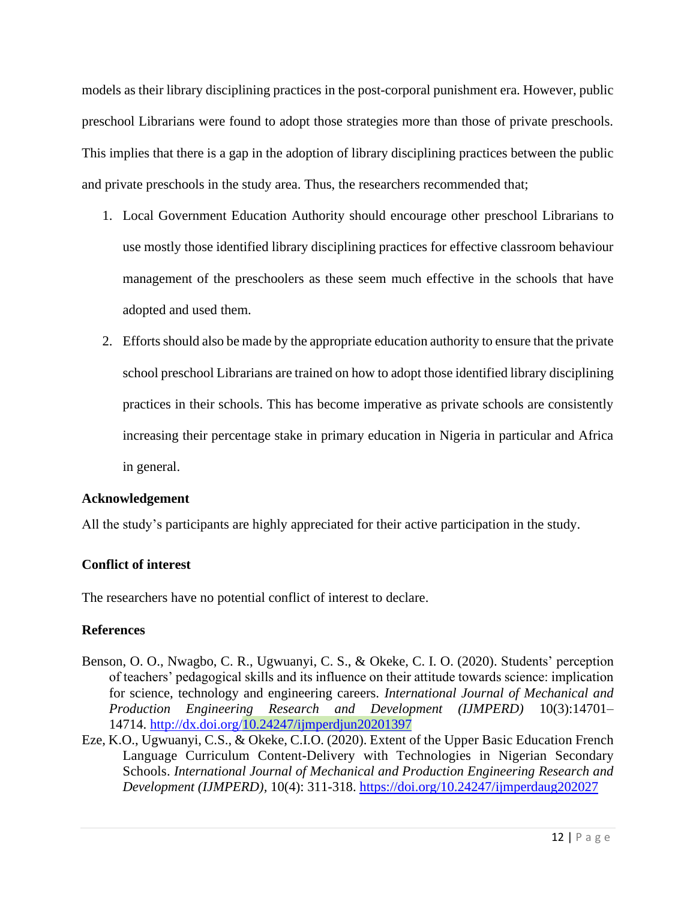models as their library disciplining practices in the post-corporal punishment era. However, public preschool Librarians were found to adopt those strategies more than those of private preschools. This implies that there is a gap in the adoption of library disciplining practices between the public and private preschools in the study area. Thus, the researchers recommended that;

- 1. Local Government Education Authority should encourage other preschool Librarians to use mostly those identified library disciplining practices for effective classroom behaviour management of the preschoolers as these seem much effective in the schools that have adopted and used them.
- 2. Efforts should also be made by the appropriate education authority to ensure that the private school preschool Librarians are trained on how to adopt those identified library disciplining practices in their schools. This has become imperative as private schools are consistently increasing their percentage stake in primary education in Nigeria in particular and Africa in general.

# **Acknowledgement**

All the study's participants are highly appreciated for their active participation in the study.

# **Conflict of interest**

The researchers have no potential conflict of interest to declare.

# **References**

- Benson, O. O., Nwagbo, C. R., Ugwuanyi, C. S., & Okeke, C. I. O. (2020). Students' perception of teachers' pedagogical skills and its influence on their attitude towards science: implication for science, technology and engineering careers. *International Journal of Mechanical and Production Engineering Research and Development (IJMPERD)* 10(3):14701– 14714. <http://dx.doi.org/10.24247/ijmperdjun20201397>
- Eze, K.O., Ugwuanyi, C.S., & Okeke, C.I.O. (2020). Extent of the Upper Basic [Education](http://www.tjprc.org/view_paper.php?id=14168) French Language Curriculum [Content-Delivery](http://www.tjprc.org/view_paper.php?id=14168) with Technologies in Nigerian Secondary [Schools.](http://www.tjprc.org/view_paper.php?id=14168) *International Journal of Mechanical and Production Engineering Research and Development (IJMPERD),* 10(4): 311-318.<https://doi.org/10.24247/ijmperdaug202027>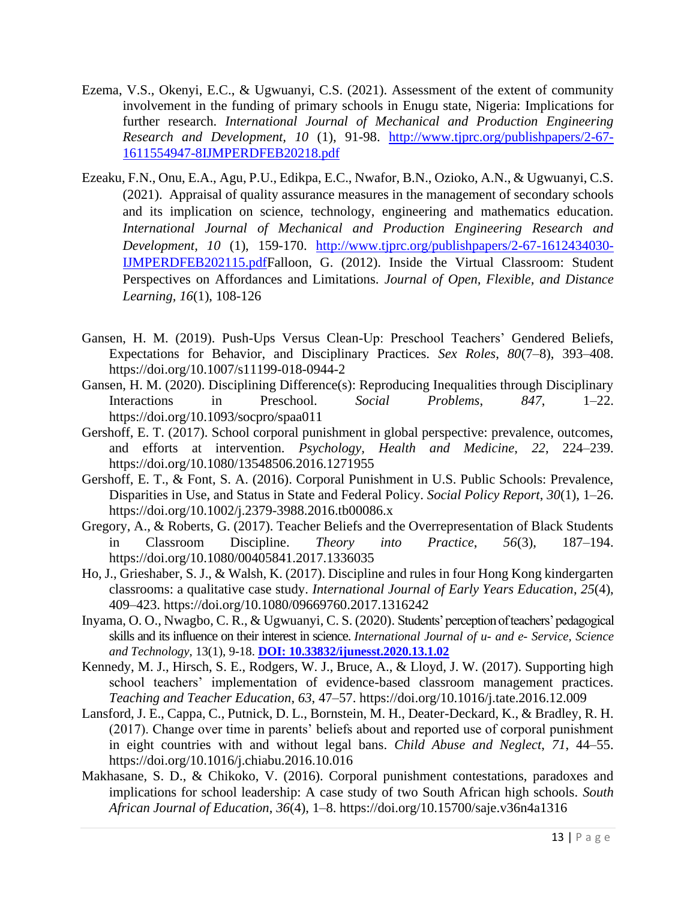- Ezema, V.S., Okenyi, E.C., & Ugwuanyi, C.S. (2021). Assessment of the extent of community involvement in the funding of primary schools in Enugu state, Nigeria: Implications for further research. *International Journal of Mechanical and Production Engineering Research and Development, 10* (1), 91-98. [http://www.tjprc.org/publishpapers/2-67-](http://www.tjprc.org/publishpapers/2-67-1611554947-8IJMPERDFEB20218.pdf) [1611554947-8IJMPERDFEB20218.pdf](http://www.tjprc.org/publishpapers/2-67-1611554947-8IJMPERDFEB20218.pdf)
- Ezeaku, F.N., Onu, E.A., Agu, P.U., Edikpa, E.C., Nwafor, B.N., Ozioko, A.N., & Ugwuanyi, C.S. (2021). Appraisal of quality assurance measures in the management of secondary schools and its implication on science, technology, engineering and mathematics education. *International Journal of Mechanical and Production Engineering Research and Development, 10* (1), 159-170. [http://www.tjprc.org/publishpapers/2-67-1612434030-](http://www.tjprc.org/publishpapers/2-67-1612434030-IJMPERDFEB202115.pdf) [IJMPERDFEB202115.pdfF](http://www.tjprc.org/publishpapers/2-67-1612434030-IJMPERDFEB202115.pdf)alloon, G. (2012). Inside the Virtual Classroom: Student Perspectives on Affordances and Limitations. *Journal of Open, Flexible, and Distance Learning, 16*(1), 108-126
- Gansen, H. M. (2019). Push-Ups Versus Clean-Up: Preschool Teachers' Gendered Beliefs, Expectations for Behavior, and Disciplinary Practices. *Sex Roles*, *80*(7–8), 393–408. https://doi.org/10.1007/s11199-018-0944-2
- Gansen, H. M. (2020). Disciplining Difference(s): Reproducing Inequalities through Disciplinary Interactions in Preschool. *Social Problems*, *847*, 1–22. https://doi.org/10.1093/socpro/spaa011
- Gershoff, E. T. (2017). School corporal punishment in global perspective: prevalence, outcomes, and efforts at intervention. *Psychology, Health and Medicine*, *22*, 224–239. https://doi.org/10.1080/13548506.2016.1271955
- Gershoff, E. T., & Font, S. A. (2016). Corporal Punishment in U.S. Public Schools: Prevalence, Disparities in Use, and Status in State and Federal Policy. *Social Policy Report*, *30*(1), 1–26. https://doi.org/10.1002/j.2379-3988.2016.tb00086.x
- Gregory, A., & Roberts, G. (2017). Teacher Beliefs and the Overrepresentation of Black Students in Classroom Discipline. *Theory into Practice*, *56*(3), 187–194. https://doi.org/10.1080/00405841.2017.1336035
- Ho, J., Grieshaber, S. J., & Walsh, K. (2017). Discipline and rules in four Hong Kong kindergarten classrooms: a qualitative case study. *International Journal of Early Years Education*, *25*(4), 409–423. https://doi.org/10.1080/09669760.2017.1316242
- Inyama, O. O., Nwagbo, C. R., & Ugwuanyi, C. S. (2020). [Students' perception of teachers' pedagogical](http://article.nadiapub.com/IJUNESST/vol13_no1/2.html)  [skills and its influence on their interest in science.](http://article.nadiapub.com/IJUNESST/vol13_no1/2.html) *International Journal of u- and e- Service, Science and Technology*, 13(1), 9-18. **[DOI: 10.33832/ijunesst.2020.13.1.02](https://doi.org/10.33832/ijunesst.2020.13.1.02)**
- Kennedy, M. J., Hirsch, S. E., Rodgers, W. J., Bruce, A., & Lloyd, J. W. (2017). Supporting high school teachers' implementation of evidence-based classroom management practices. *Teaching and Teacher Education*, *63*, 47–57. https://doi.org/10.1016/j.tate.2016.12.009
- Lansford, J. E., Cappa, C., Putnick, D. L., Bornstein, M. H., Deater-Deckard, K., & Bradley, R. H. (2017). Change over time in parents' beliefs about and reported use of corporal punishment in eight countries with and without legal bans. *Child Abuse and Neglect*, *71*, 44–55. https://doi.org/10.1016/j.chiabu.2016.10.016
- Makhasane, S. D., & Chikoko, V. (2016). Corporal punishment contestations, paradoxes and implications for school leadership: A case study of two South African high schools. *South African Journal of Education*, *36*(4), 1–8. https://doi.org/10.15700/saje.v36n4a1316